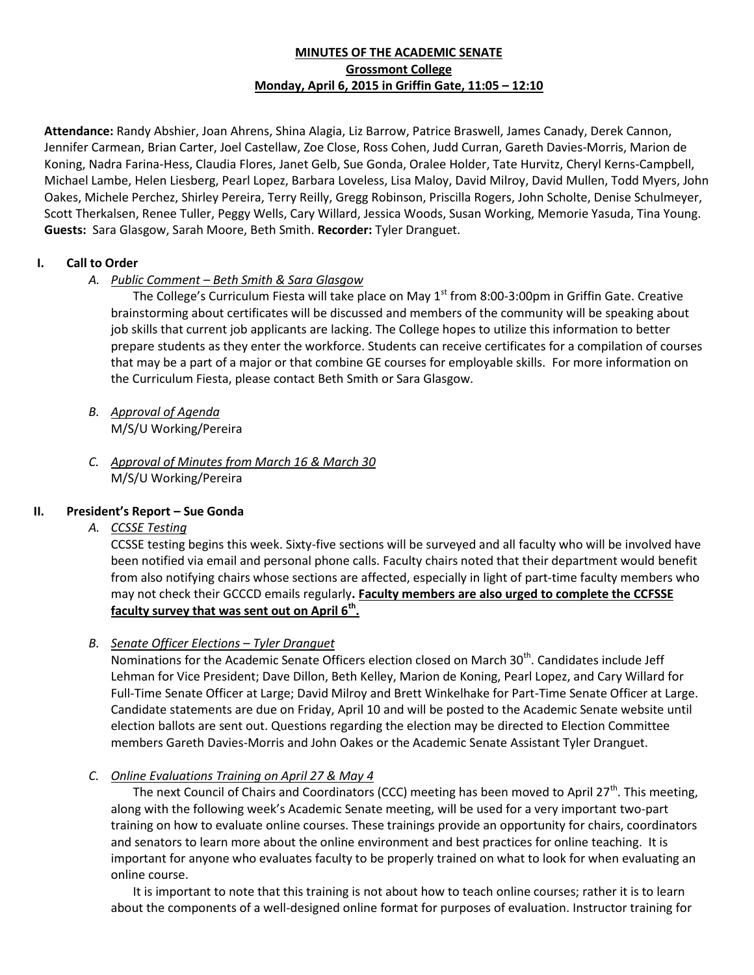# **MINUTES OF THE ACADEMIC SENATE Grossmont College Monday, April 6, 2015 in Griffin Gate, 11:05 – 12:10**

**Attendance:** Randy Abshier, Joan Ahrens, Shina Alagia, Liz Barrow, Patrice Braswell, James Canady, Derek Cannon, Jennifer Carmean, Brian Carter, Joel Castellaw, Zoe Close, Ross Cohen, Judd Curran, Gareth Davies-Morris, Marion de Koning, Nadra Farina-Hess, Claudia Flores, Janet Gelb, Sue Gonda, Oralee Holder, Tate Hurvitz, Cheryl Kerns-Campbell, Michael Lambe, Helen Liesberg, Pearl Lopez, Barbara Loveless, Lisa Maloy, David Milroy, David Mullen, Todd Myers, John Oakes, Michele Perchez, Shirley Pereira, Terry Reilly, Gregg Robinson, Priscilla Rogers, John Scholte, Denise Schulmeyer, Scott Therkalsen, Renee Tuller, Peggy Wells, Cary Willard, Jessica Woods, Susan Working, Memorie Yasuda, Tina Young. **Guests:** Sara Glasgow, Sarah Moore, Beth Smith. **Recorder:** Tyler Dranguet.

# **I. Call to Order**

# *A. Public Comment – Beth Smith & Sara Glasgow*

The College's Curriculum Fiesta will take place on May  $1<sup>st</sup>$  from 8:00-3:00pm in Griffin Gate. Creative brainstorming about certificates will be discussed and members of the community will be speaking about job skills that current job applicants are lacking. The College hopes to utilize this information to better prepare students as they enter the workforce. Students can receive certificates for a compilation of courses that may be a part of a major or that combine GE courses for employable skills. For more information on the Curriculum Fiesta, please contact Beth Smith or Sara Glasgow.

- *B. Approval of Agenda* M/S/U Working/Pereira
- *C. Approval of Minutes from March 16 & March 30* M/S/U Working/Pereira

## **II. President's Report – Sue Gonda**

*A. CCSSE Testing*

CCSSE testing begins this week. Sixty-five sections will be surveyed and all faculty who will be involved have been notified via email and personal phone calls. Faculty chairs noted that their department would benefit from also notifying chairs whose sections are affected, especially in light of part-time faculty members who may not check their GCCCD emails regularly**. Faculty members are also urged to complete the CCFSSE faculty survey that was sent out on April 6th .**

## *B. <u>Senate Officer Elections – Tyler Dranquet</u>*

Nominations for the Academic Senate Officers election closed on March 30<sup>th</sup>. Candidates include Jeff Lehman for Vice President; Dave Dillon, Beth Kelley, Marion de Koning, Pearl Lopez, and Cary Willard for Full-Time Senate Officer at Large; David Milroy and Brett Winkelhake for Part-Time Senate Officer at Large. Candidate statements are due on Friday, April 10 and will be posted to the Academic Senate website until election ballots are sent out. Questions regarding the election may be directed to Election Committee members Gareth Davies-Morris and John Oakes or the Academic Senate Assistant Tyler Dranguet.

## *C. Online Evaluations Training on April 27 & May 4*

The next Council of Chairs and Coordinators (CCC) meeting has been moved to April 27<sup>th</sup>. This meeting, along with the following week's Academic Senate meeting, will be used for a very important two-part training on how to evaluate online courses. These trainings provide an opportunity for chairs, coordinators and senators to learn more about the online environment and best practices for online teaching. It is important for anyone who evaluates faculty to be properly trained on what to look for when evaluating an online course.

It is important to note that this training is not about how to teach online courses; rather it is to learn about the components of a well-designed online format for purposes of evaluation. Instructor training for